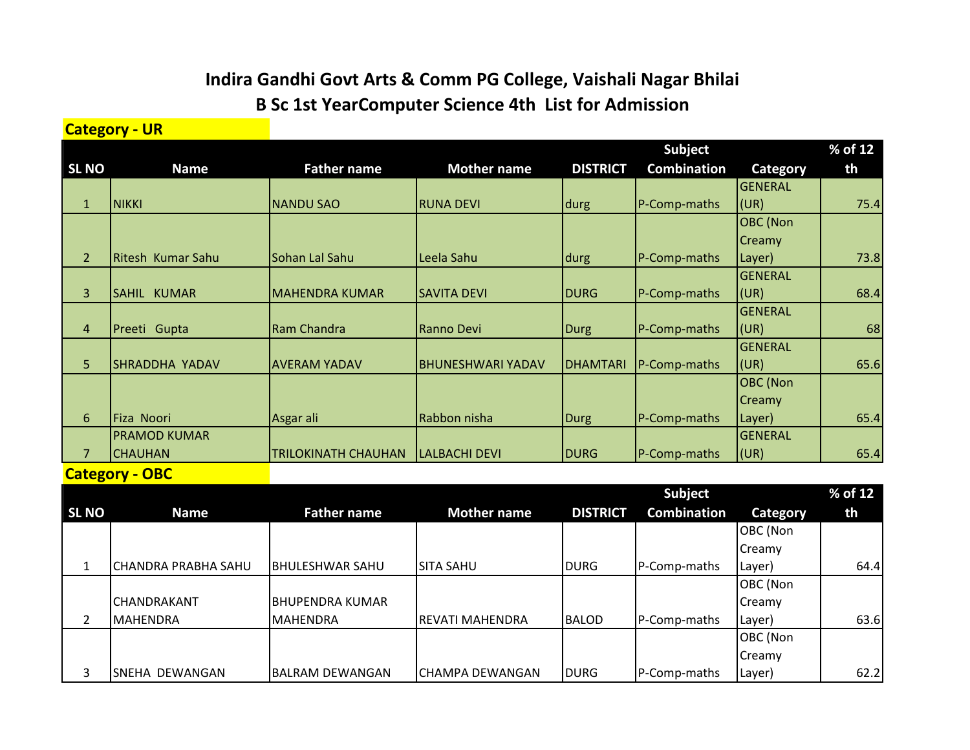## **Indira Gandhi Govt Arts & Comm PG College, Vaishali Nagar Bhilai B Sc 1st YearComputer Science 4th List for Admission**

**Category - UR**

|                |                     |                            |                          |                 | <b>Subject</b>     |                 | % of 12 |
|----------------|---------------------|----------------------------|--------------------------|-----------------|--------------------|-----------------|---------|
| <b>SL NO</b>   | <b>Name</b>         | <b>Father name</b>         | <b>Mother name</b>       | <b>DISTRICT</b> | <b>Combination</b> | Category        | th      |
|                |                     |                            |                          |                 |                    | <b>GENERAL</b>  |         |
| $\mathbf{1}$   | <b>NIKKI</b>        | <b>NANDU SAO</b>           | <b>RUNA DEVI</b>         | durg            | P-Comp-maths       | (UR)            | 75.4    |
|                |                     |                            |                          |                 |                    | <b>OBC</b> (Non |         |
|                |                     |                            |                          |                 |                    | <b>Creamy</b>   |         |
| $\overline{2}$ | Ritesh Kumar Sahu   | Sohan Lal Sahu             | Leela Sahu               | durg            | P-Comp-maths       | Layer)          | 73.8    |
|                |                     |                            |                          |                 |                    | GENERAL         |         |
| 3              | <b>SAHIL KUMAR</b>  | <b>MAHENDRA KUMAR</b>      | <b>SAVITA DEVI</b>       | <b>DURG</b>     | P-Comp-maths       | (UR)            | 68.4    |
|                |                     |                            |                          |                 |                    | <b>GENERAL</b>  |         |
| $\overline{4}$ | Preeti Gupta        | Ram Chandra                | Ranno Devi               | <b>Durg</b>     | P-Comp-maths       | (UR)            | 68      |
|                |                     |                            |                          |                 |                    | <b>GENERAL</b>  |         |
| 5              | SHRADDHA YADAV      | <b>AVERAM YADAV</b>        | <b>BHUNESHWARI YADAV</b> | <b>DHAMTARI</b> | P-Comp-maths       | (UR)            | 65.6    |
|                |                     |                            |                          |                 |                    | <b>OBC</b> (Non |         |
|                |                     |                            |                          |                 |                    | <b>Creamy</b>   |         |
| 6              | Fiza Noori          | Asgar ali                  | Rabbon nisha             | <b>Durg</b>     | P-Comp-maths       | Layer)          | 65.4    |
|                | <b>PRAMOD KUMAR</b> |                            |                          |                 |                    | <b>GENERAL</b>  |         |
| 7              | <b>CHAUHAN</b>      | <b>TRILOKINATH CHAUHAN</b> | <b>LALBACHI DEVI</b>     | <b>DURG</b>     | P-Comp-maths       | (UR)            | 65.4    |

**Category - OBC**

|              |                             |                    |                        |                 | Subject            |                 | % of 12 |
|--------------|-----------------------------|--------------------|------------------------|-----------------|--------------------|-----------------|---------|
| <b>SL NO</b> | <b>Name</b>                 | <b>Father name</b> | <b>Mother name</b>     | <b>DISTRICT</b> | <b>Combination</b> | <b>Category</b> | th      |
|              |                             |                    |                        |                 |                    | OBC (Non        |         |
|              |                             |                    |                        |                 |                    | <b>Creamy</b>   |         |
|              | <b> CHANDRA PRABHA SAHU</b> | IBHULESHWAR SAHU   | ISITA SAHU             | <b>DURG</b>     | P-Comp-maths       | Layer)          | 64.4    |
|              |                             |                    |                        |                 |                    | OBC (Non        |         |
|              | <b>CHANDRAKANT</b>          | BHUPENDRA KUMAR    |                        |                 |                    | Creamy          |         |
| 2            | <b>I</b> MAHENDRA           | <b>MAHENDRA</b>    | <b>REVATI MAHENDRA</b> | <b>BALOD</b>    | P-Comp-maths       | Layer)          | 63.6    |
|              |                             |                    |                        |                 |                    | OBC (Non        |         |
|              |                             |                    |                        |                 |                    | Creamy          |         |
| 3            | SNEHA DEWANGAN              | BALRAM DEWANGAN    | CHAMPA DEWANGAN        | <b>DURG</b>     | P-Comp-maths       | Layer)          | 62.2    |